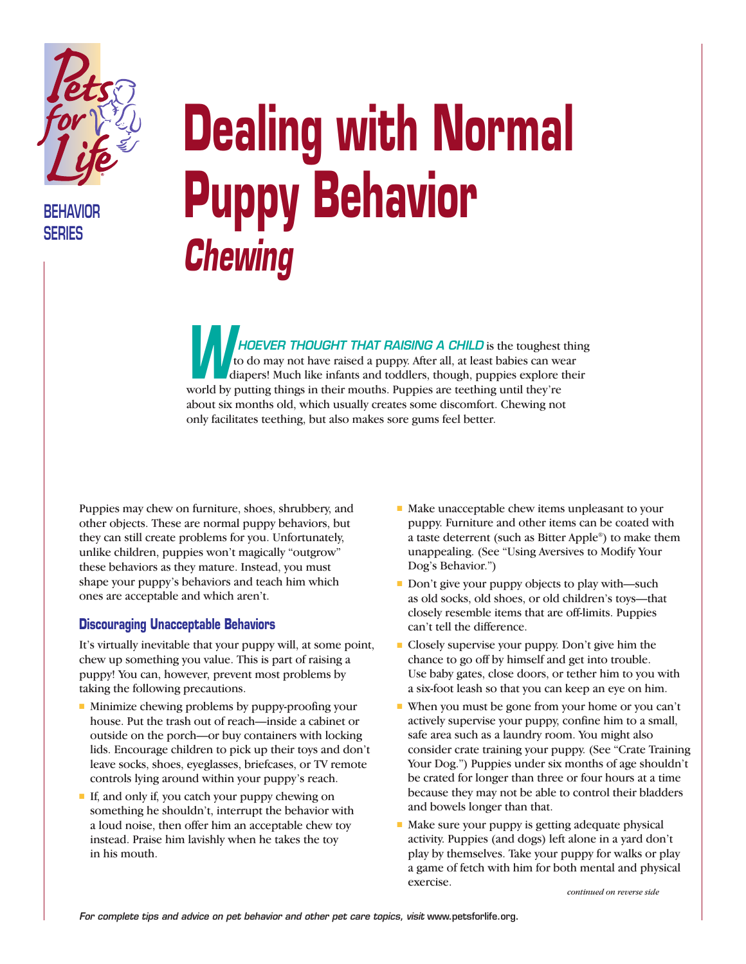

**BEHAVIOR SERIES**

# **Dealing with Normal Puppy Behavior**  *Chewing*

*HOEVER THOUGHT THAT RAISING A CHILD* is the toughest thing to do may not have raised a puppy. After all, at least babies can wear diapers! Much like infants and toddlers, though, puppies explore their world by putting things in their mouths. Puppies are teething until they're<br>
World by putting things in their mouths. Puppies are teething until they're about six months old, which usually creates some discomfort. Chewing not only facilitates teething, but also makes sore gums feel better.

Puppies may chew on furniture, shoes, shrubbery, and other objects. These are normal puppy behaviors, but they can still create problems for you. Unfortunately, unlike children, puppies won't magically "outgrow" these behaviors as they mature. Instead, you must shape your puppy's behaviors and teach him which ones are acceptable and which aren't.

#### **Discouraging Unacceptable Behaviors**

It's virtually inevitable that your puppy will, at some point, chew up something you value. This is part of raising a puppy! You can, however, prevent most problems by taking the following precautions.

- Minimize chewing problems by puppy-proofing your house. Put the trash out of reach—inside a cabinet or outside on the porch—or buy containers with locking lids. Encourage children to pick up their toys and don't leave socks, shoes, eyeglasses, briefcases, or TV remote controls lying around within your puppy's reach.
- If, and only if, you catch your puppy chewing on something he shouldn't, interrupt the behavior with a loud noise, then offer him an acceptable chew toy instead. Praise him lavishly when he takes the toy in his mouth.
- Make unacceptable chew items unpleasant to your puppy. Furniture and other items can be coated with a taste deterrent (such as Bitter Apple®) to make them unappealing. (See "Using Aversives to Modify Your Dog's Behavior.")
- Don't give your puppy objects to play with—such as old socks, old shoes, or old children's toys—that closely resemble items that are off-limits. Puppies can't tell the difference.
- Closely supervise your puppy. Don't give him the chance to go off by himself and get into trouble. Use baby gates, close doors, or tether him to you with a six-foot leash so that you can keep an eye on him.
- When you must be gone from your home or you can't actively supervise your puppy, confine him to a small, safe area such as a laundry room. You might also consider crate training your puppy. (See "Crate Training Your Dog.") Puppies under six months of age shouldn't be crated for longer than three or four hours at a time because they may not be able to control their bladders and bowels longer than that.
- Make sure your puppy is getting adequate physical activity. Puppies (and dogs) left alone in a yard don't play by themselves. Take your puppy for walks or play a game of fetch with him for both mental and physical exercise.

*continued on reverse side*